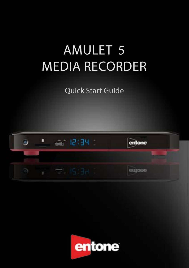# **AMULET 5** Media Recorder

Quick Start Guide



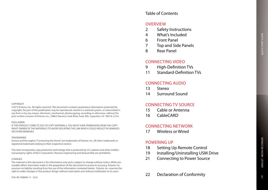1

#### Table of Contents

#### **OVERVIEW**

- 2 [Safety Instructions](#page-2-0)
- 4 [What's Included](#page-3-0)
- 6 [Front Panel](#page-4-0)
- [7 Top and Side Panels](#page-4-0)
- [8 Rear Panel](#page-5-0)

#### [Connecting Video](#page-5-0)

- 9 [High-Definition TVs](#page-5-0)
- 11 [Standard-Definition TVs](#page-6-0)

#### [Connecting](#page-7-0) Audio

- 13 [Stereo](#page-7-0)
- 14 [Surround Sound](#page-8-0)

## [Connecting](#page-8-0) TV Source

- [15 Cable or Antenna](#page-8-0)
- [16 CableCARD](#page-9-0)

#### [Connecting Network](#page-9-0)

17 [Wireless or Wired](#page-9-0)

#### POWERING UP

- 18 [Setting Up Remote Control](#page-10-0)
- [19 Installing/Uninstalling USM](#page-10-0) Drive
- [21 Connecting to Power Source](#page-11-0)
- [22 Declaration of Conformity](#page-12-0)

#### COPYRIGHT

©2013 Entone, Inc. All rights reserved. This document contains proprietary information protected by copyright. No part of this publication may be reproduced, stored in a retrieval system, or transmitted in any form or by any means, electronic, mechanical, photocopying, recording or otherwise, without the prior written consent of Entone, Inc., 20863 Stevens Creek Blvd, Suite 300, Cupertino, CA 95014, U.S.A.

#### DISCLAIMER

IF THIS PRODUCT DIRECTS YOU TO COPY MATERIALS, YOU MUST HAVE PERMISSION FROM THE COPY-RIGHT OWNER OF THE MATERIALS TO AVOID VIOLATING THE LAW WHICH COULD RESULT IN DAMAGES OR OTHER REMEDIES.

#### **TRADEMARKS**

Entone and the tagline "Connecting the Home" are trademarks of Entone, Inc. All other trademarks or registered trademarks belong to their respective owners.

This item incorporates copy protection technology that is protected by U.S. patents and other intellectual property rights of Rovi Corporation. Reverse engineering and disassembly are prohibited.

#### **CHANGES**

The material in this document is for information only and is subject to change without notice. While reasonable efforts have been made in the preparation of this document to assure its accuracy, Entone, Inc. assumes no liability resulting from the use of the information contained herein. Entone, Inc. reserves the right to make changes in the product design without reservation and without notification to its users.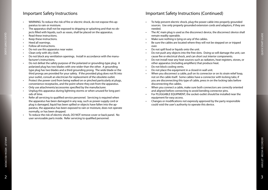## <span id="page-2-0"></span>Important Safety Instructions

- WARNING: To reduce the risk of fire or electric shock, do not expose this apparatus to rain or moisture.
- The apparatus shall not be exposed to dripping or splashing and that no objects filled with liquids, such as vases, shall be placed on the apparatus.
- Read these instructions.
- Keep these instructions.
- Heed all warnings.
- Follow all instructions.
- Do not use this apparatus near water.
- Clean only with dry cloth.
- Do not block any ventilation openings. Install in accordance with the manufacturer's instructions.
- Do not defeat the safety purpose of the polarized or grounding-type plug. A polarized plug has two blades with one wider than the other. A grounding type plug has two blades and a third grounding prong. The wide blade or the third prongs are provided for your safety. If the provided plug does not fit into your outlet, consult an electrician for replacement of the obsolete outlet.
- Protect the power cord from being walked on or pinched particularly at plugs, convenience receptacles, and the point where they exit from the apparatus.
- Only use attachments/accessories specified by the manufacturer.
- Unplug this apparatus during lightning storms or when unused for long periods of time.
- Refer all servicing to qualified service personnel. Servicing is required when the apparatus has been damaged in any way, such as power-supply cord or plug is damaged, liquid has been spilled or objects have fallen into the apparatus, the apparatus has been exposed to rain or moisture, does not operate normally, or has been dropped.
- • To reduce the risk of electric shock, DO NOT remove cover or back panel. No user serviceable parts inside. Refer servicing to qualified personnel.

# Important Safety Instructions (Continued)

- To help prevent electric shock, plug the power cable into properly grounded sources. Use only properly grounded extension cords and adaptors, if they are needed.
- The AC main plug is used as the disconnect device, the disconnect device shall remain readily operable.
- Make sure nothing is lying on any of the cables.
- Be sure the cables are located where they will not be stepped on or tripped over.
- Do not spill food or liquids onto the unit.
- Do not push any objects into the free slots. Doing so will damage the unit, can cause fire or electrical shock, and can short out interior components.
- Do not install near any heat sources such as radiators, heat registers, stoves, or other apparatus (including amplifiers) that produce heat.
- Do not block cooling vents.
- Do not place the equipment in a closed-in wall unit.
- When you disconnect a cable, pull on its connector or on its strain relief loop, not on the cable itself. Some cables have a connector with locking tabs; if you are disconnecting this type of cable, press in on the locking tabs before disconnecting the cables.
- When you connect a cable, make sure both connectors are correctly oriented and aligned before connecting to avoid bending connector pins.
- For PLUGGABLE EQUIPMENT, the socket-outlet should be installed near the equipment for easy access.
- • Changes or modifications not expressly approved by the party responsible could void the user's authority to operate this device.

Amulet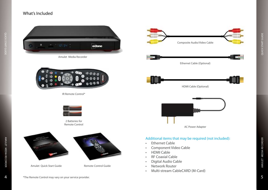## What's Included



Amulet Media Recorder



IR Remote Control\*



2 Batteries for Remote Control



<span id="page-3-0"></span>

Amulet

Media Recorder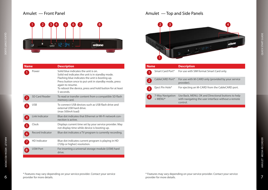# QUICK START GUIDE Quick Start Guide

# <span id="page-4-0"></span>Amulet — Front Panel



| <b>Name</b> |                         | <b>Description</b>                                                                                                                                                                                                                                                                                |
|-------------|-------------------------|---------------------------------------------------------------------------------------------------------------------------------------------------------------------------------------------------------------------------------------------------------------------------------------------------|
|             | Power                   | Solid blue indicates the unit is on.<br>Solid red indicates the unit is in standby mode.<br>Flashing blue indicates the unit is booting up.<br>Press button once to put unit in standby mode, press<br>again to resume.<br>To reboot the device, press and hold button for at least<br>5 seconds. |
|             | SD Card Reader          | To read or transfer content from a compatible SD flash<br>memory card.                                                                                                                                                                                                                            |
|             | <b>USB</b>              | To connect USB devices such as USB flash drive and<br>external USB hard drive.<br>(max 500mA load)                                                                                                                                                                                                |
| 4,          | Link Indicator          | Blue dot indicates that Ethernet or Wi-Fi network con-<br>nection is active.                                                                                                                                                                                                                      |
| 5           | Clock                   | Displays current time set by your service provider. May<br>not display time while device is booting up.                                                                                                                                                                                           |
| 6           | <b>Record Indicator</b> | Blue dot indicates a TV program is currently recording.                                                                                                                                                                                                                                           |
|             | HD Indicator            | Blue dot indicates current program is playing in HD<br>(720p or higher) resolution.                                                                                                                                                                                                               |
| 8           | <b>USM Port</b>         | For inserting a universal storage module (USM) hard<br>drive.                                                                                                                                                                                                                                     |

# Amulet — Top and Side Panels



| <b>Name</b> |                                           | <b>Description</b>                                                                                                    |
|-------------|-------------------------------------------|-----------------------------------------------------------------------------------------------------------------------|
|             | Smart Card Port*                          | For use with SIM format Smart Card only.                                                                              |
|             | CableCARD Port*                           | For use with M-CARD only (provided by your service<br>provider).                                                      |
| 3           | Eject Pin Hole*                           | For ejecting an M-CARD from the CableCARD port.                                                                       |
| 4           | 7-Way Navigation<br>$+$ MFNU <sup>*</sup> | Use Back, MENU, OK and Directional buttons to help<br>with navigating the user interface without a remote<br>control. |

\* Features may vary depending on your service provider. Contact your service provider for more details.

**6** Provider for more details. \* Features may vary depending on your service provider. Contact your service provider for more details.

Quick Start Guide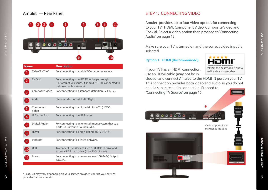## <span id="page-5-0"></span>Amulet — Rear Panel



| <b>Name</b>            | <b>Description</b>                                                                                                               |
|------------------------|----------------------------------------------------------------------------------------------------------------------------------|
| Cable/ANT In*          | For connecting to a cable TV or antenna source.                                                                                  |
| TV Out*                | For connecting to an RF TV for loop-through.<br>(For Amulet 500 series, it should NOT be connected to<br>in-house cable network) |
| Composite Video        | For connecting to a standard-definition TV (SDTV).                                                                               |
| Audio                  | Stereo audio output (Left / Right).                                                                                              |
| Component<br>Video     | For connecting to a high-definition TV (HDTV).                                                                                   |
| <b>IR Blaster Port</b> | For connecting to an IR Blaster.                                                                                                 |
| Digital Audio          | For connecting to an entertainment system that sup-<br>ports 5.1 Surround Sound audio.                                           |
| <b>HDMI</b>            | For connecting to a high-definition TV (HDTV).                                                                                   |
| Ethernet               | For connecting to a wired network.                                                                                               |
| <b>USB</b>             | To connect USB devices such as USB flash drive and<br>external USB hard drive. (max 500mA load)                                  |
| Power                  | For connecting to a power source (100-240V, Output<br>12V/3A).                                                                   |

## STEP 1: CONNECTING VIDEO

Amulet provides up to four video options for connecting to your TV: HDMI, Component Video, Composite Video and Coaxial. Select a video option then proceed to" Connecting Audio" on [page 13.](#page-7-1)

Make sure your TV is turned on and the correct video input is selected.

#### Option 1: HDMI ( Recommended)

If your TV has an HDMI connection, use an HDMI cable (may not be in -



cluded) and connect Amulet to the HDMI IN port on your TV. This connection provides both video and audio so you do not If your TV has an HDMI connection, Delivers the best video & audio<br>use an HDMI cable (may not be in-<br>cluded) and connect Amulet to the HDMI IN port on your TV.<br>This connection provides both video and audio so you do not<br>ne



may not be included



9

Amulet Media Recorder

**AMULET MEDIA RECORDER** 

Quick Start Guide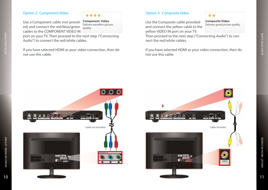#### <span id="page-6-0"></span>Option 2: Component Video

# \*\*\*\*

Delivers excellent picture

Use a Component cable (not provided) and connect the red/blue/green cables to the COMPONENT VIDEO IN **Component Video** quality

port on your TV. Then proceed to the next step ("Connecting Audio") to connect the red/white cables.

If you have selected HDMI as your video connection, then do not use this cable.

### Option 3: Composite Video

Use the Composite cable provided and connect the yellow cable to the yellow VIDEO IN port on your TV.

Then proceed to the next step ("Connecting Audio") to connect the red/white cables.

**Composite Video** Delivers good picture quality

\*\*

If you have selected HDMI as your video connection, then do not use this cable.



 $000$ Cable not included



Amulet

Media Recorder

**AMULET MEDIA RECORDER** 

Quick Start Guide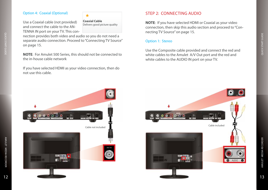# <span id="page-7-0"></span>Option 4: Coaxial (Optional)

#### $\bigstar$

**Coaxial Cable**

Delivers good picture quality

Use a Coaxial cable (not provided) and connect the cable to the AN-TENNA IN port on your TV. This con-

nection provides both video and audio so you do not need a separate audio connection. Proceed to "Connecting TV Source" on [page 15.](#page-8-1)

**NOTE**: For Amulet 500 Series, this should not be connected to the in-house cable network

If you have selected HDMI as your video connection, then do not use this cable.

# <span id="page-7-1"></span>STEP 2: CONNECTING AUDIO

**NOTE**: If you have selected HDMI or Coaxial as your video connection, then skip this audio section and proceed to "Connecting TV Source" on [page 15](#page-8-1).

#### Option 1: Stereo

Use the Composite cable provided and connect the red and white cables to the Amulet A/V Out port and the red and white cables to the AUDIO IN port on your TV.





Amulet

Media Recorder

AMULET MEDIA RECORDER

Quick Start Guide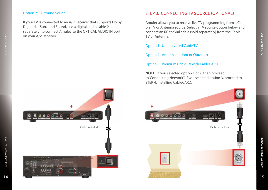#### <span id="page-8-0"></span>Option 2: Surround Sound

If your TV is connected to an A/V Receiver that supports Dolby Digital 5.1 Surround Sound, use a digital audio cable (sold separately) to connect Amulet to the OPTICAL AUDIO IN port on your A/V Receiver.

## <span id="page-8-1"></span>Step 3: Connecting TV Source (Optional)

Amulet allows you to receive live TV programming from a Cable TV or Antenna source. Select a TV source option below and connect an RF coaxial cable (sold separately) from the Cable TV or Antenna.

Option 1: Unencrypted Cable TV

Option 2: Antenna (Indoor or Outdoor)

Option 3: Premium Cable TV with CableCARD

**NOTE**: If you selected option 1 or 2, then proceed to"Connecting Network". If you selected option 3, proceed to STEP 4: Installing CableCARD.





Quick Start Guide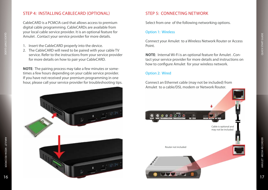# <span id="page-9-0"></span>Step 4: Installing CableCard (Optional)

CableCARD is a PCMCIA card that allows access to premium digital cable programming. CableCARDs are available from your local cable service provider. It is an optional feature for Amulet . Contact your service provider for more details.

- 1. Insert the CableCARD properly into the device.
- 2. The CableCARD will need to be paired with your cable TV service. Refer to the instructions from your service provider for more details on how to pair your CableCARD.

**NOTE**: The pairing process may take a few minutes or sometimes a few hours depending on your cable service provider. If you have not received your premium programming in one hour, please call your service provider for troubleshooting tips.



#### Step 5: Connecting Network

Select from one of the following networking options.

#### Option 1: Wireless

Connect your Amulet to a Wireless Network Router or Access Point.

**NOTE:** Internal Wi-Fi is an optional feature for Amulet. Contact your service provider for more details and instructions on how to configure Amulet for your wireless network.

#### Option 2: Wired

Connect an Ethernet cable (may not be included) from Amulet to a cable/DSL modem or Network Router.



Amulet

Amulet

Media Recorder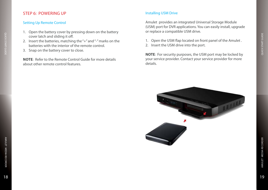# <span id="page-10-0"></span>Step 6: Powering Up

#### Setting Up Remote Control

- 1. Open the battery cover by pressing down on the battery cover latch and sliding it off.
- 2. Insert the batteries, matching the "+" and "-" marks on the batteries with the interior of the remote control.
- 3. Snap on the battery cover to close.

**NOTE:** Refer to the Remote Control Guide for more details about other remote control features.

#### Installing USM Drive

Amulet provides an integrated Universal Storage Module (USM) port for DVR applications. You can easily install, upgrade or replace a compatible USM drive.

- 1. Open the USM flap located on front panel of the Amulet .
- 2. Insert the USM drive into the port.

**NOTE**: For security purposes, the USM port may be locked by your service provider. Contact your service provider for more details.



Quick Start Guide

QUICK START GUIDE

Amulet

Media Recorder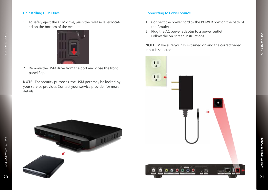# QUICK START GUIDE Quick Start Guide

# <span id="page-11-0"></span>Uninstalling USM Drive

1. To safely eject the USM drive, push the release lever located on the bottom of the Amulet.



2. Remove the USM drive from the port and close the front panel flap.

**NOTE**: For security purposes, the USM port may be locked by your service provider. Contact your service provider for more details.

## Connecting to Power Source

- 1. Connect the power cord to the POWER port on the back of the Amulet .
- 2. Plug the AC power adapter to a power outlet.
- 3. Follow the on-screen instructions.

**NOTE**: Make sure your TV is turned on and the correct video input is selected.



Amulet

Media Recorder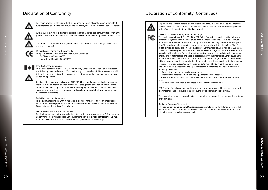# <span id="page-12-0"></span>Declaration of Conformity

| To ensure proper use of this product, please read this manual carefully and retain it for fu-<br>ture reference. Should the unit require maintenance, contact an authorized service location.                                                                                                                                                                                                              |
|------------------------------------------------------------------------------------------------------------------------------------------------------------------------------------------------------------------------------------------------------------------------------------------------------------------------------------------------------------------------------------------------------------|
| WARNING: This symbol indicates the presence of uninsulated dangerous voltage within the<br>product's enclosure that constitutes a risk of electric shock. Do not open the product's case.                                                                                                                                                                                                                  |
| CAUTION: This symbol indicates you must take care; there is risk of damage to the equip-<br>ment or to yourself.                                                                                                                                                                                                                                                                                           |
| Declaration of Conformity (Europe Only)<br>This product is in conformity with the Council Directives:<br>• EMC Directive 2004/108/EC<br>• Low voltage Directive 2006/95/EC                                                                                                                                                                                                                                 |
| Industry Canada statement:<br>This device complies with RSS-210 of the Industry Canada Rules. Operation is subject to<br>the following two conditions: (1) This device may not cause harmful interference, and (2)<br>this device must accept any interference received, including interference that may cause<br>undesired operation.                                                                     |
| Ce dispositif est conforme à la norme CNR-210 d'Industrie Canada applicable aux appareils<br>radio exempts de licence. Son fonctionnement est sujet aux deux conditions suivantes:<br>(1) le dispositif ne doit pas produire de brouillage préjudiciable, et (2) ce dispositif doit<br>accepter tout brouillage reçu, y compris un brouillage susceptible de provoquer un fonc-<br>tionnement indésirable. |
| <b>Radiation Exposure Statement:</b><br>This equipment complies with IC radiation exposure limits set forth for an uncontrolled<br>environment. This equipment should be installed and operated with minimum distance<br>20cm between the radiator & your body.                                                                                                                                            |
| Déclaration d'exposition aux radiations:<br>Cet équipement est conforme aux limites d'exposition aux rayonnements lC établies pour                                                                                                                                                                                                                                                                         |

Cet équipement est conforme aux limites d'exposition aux rayonnements IC établies pour un environnement non contrôlé. Cet équipement doit être installé et utilisé avec un minimum de 20 cm de distance entre la source de rayonnement et votre corps.

# Declaration of Conformity (Continued)



To prevent fire or shock hazard, do not expose this product to rain or moisture. To reduce the risk of electric shock, DO NOT remove the cover or back. No user serviceable parts are inside. For servicing refer to qualified personnel.



#### Declaration of Conformity (United States Only)

This device complies with Part 15 of the FCC Rules. Operation is subject to the following conditions: (1) this device may not cause harmful interference, and (2) this device must accept any interference received, including interference that may cause undesired operation. This equipment has been tested and found to comply with the limits for a Class B digital device, pursuant to Part 15 of the Federal Communication Commission (FCC) Rules. These limits are designed to provide reasonable protection against harmful interference in a residential installation. This equipment generates, uses, and can radiate radio frequency energy, and if not installed and used in accordance with the instructions, may cause harmful interference to radio communications. However, there is no guarantee that interference will not occur in a particular installation. If this equipment does cause harmful interference to radio or television reception, which can be determined by turning the equipment OFF and ON, the user is encouraged to try to correct the interference by one or more of the following measures:

- Reorient or relocate the receiving antenna.
- Increase the separation between the equipment and the receiver.
- Connect the equipment to a different circuit from that to which the receiver is connected.
- Consult the dealer or an experienced radio/TV technician for help.

FCC Caution: Any changes or modifications not expressly approved by the party responsible for compliance could void the user's authority to operate this equipment.

This transmitter must not be co-located or operating in conjunction with any other antenna or transmitter.

#### Radiation Exposure Statement:

This equipment complies with FCC radiation exposure limits set forth for an uncontrolled environment. This equipment should be installed and operated with minimum distance 20cm between the radiator & your body.

Amulet

Quick Start Guide